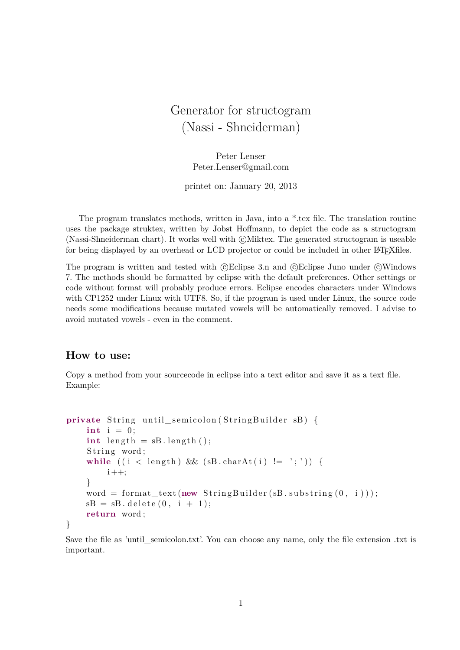# Generator for structogram (Nassi - Shneiderman)

Peter Lenser Peter.Lenser@gmail.com

printet on: January 20, 2013

The program translates methods, written in Java, into a \*.tex file. The translation routine uses the package struktex, written by Jobst Hoffmann, to depict the code as a structogram (Nassi-Shneiderman chart). It works well with  $\odot$ Miktex. The generated structogram is useable for being displayed by an overhead or LCD projector or could be included in other LATEXfiles.

The program is written and tested with  $\mathbb{C}$ Eclipse 3.n and  $\mathbb{C}$ Eclipse Juno under  $\mathbb{C}$ Windows 7. The methods should be formatted by eclipse with the default preferences. Other settings or code without format will probably produce errors. Eclipse encodes characters under Windows with CP1252 under Linux with UTF8. So, if the program is used under Linux, the source code needs some modifications because mutated vowels will be automatically removed. I advise to avoid mutated vowels - even in the comment.

#### **How to use:**

Copy a method from your sourcecode in eclipse into a text editor and save it as a text file. Example:

```
private String until semicolon (StringBuilder sB) {
    \mathbf{int} i = 0;
    \mathbf{int} length = sB. length ();
    String word;
    while ((i < length) \& (sB.charAt(i) != ';'))i + +:
    }
    word = format\_text(new StringBuilder(sB.substring(0, i)));sB = sB. delete(0, i + 1);return word ;
}
```
Save the file as 'until semicolon.txt'. You can choose any name, only the file extension .txt is important.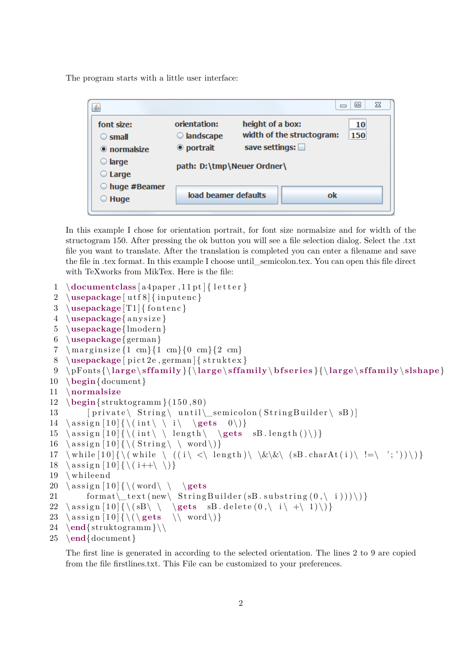The program starts with a little user interface:

| 画                    |                            |                          |                           | ▣<br>$\qquad \qquad \Box$ | 23 |
|----------------------|----------------------------|--------------------------|---------------------------|---------------------------|----|
| font size:           | orientation:               | height of a box:         |                           | <b>10</b>                 |    |
| $\circ$ small        | $\bigcirc$ landscape       |                          | width of the structogram: | 150                       |    |
| $\bullet$ normalsize | ◉ portrait                 | save settings: $\square$ |                           |                           |    |
| $\bigcirc$ large     | path: D:\tmp\Neuer Ordner\ |                          |                           |                           |    |
| $\circ$ Large        |                            |                          |                           |                           |    |
| $\odot$ huge #Beamer |                            |                          |                           |                           |    |
| $\odot$ Huge         | load beamer defaults       |                          |                           | ok                        |    |
|                      |                            |                          |                           |                           |    |

In this example I chose for orientation portrait, for font size normalsize and for width of the structogram 150. After pressing the ok button you will see a file selection dialog. Select the .txt file you want to translate. After the translation is completed you can enter a filename and save the file in .tex format. In this example I choose until\_semicolon.tex. You can open this file direct with TeXworks from MikTex. Here is the file:

```
1 \documentclass [a4paper, 11 pt] { letter }
 2 \usepackage [utf8] { inputenc }
 3 \ \text{usepackage}[T1] \{ \text{font} \}4 \usepackage{ a n y si z e }
 5 \usepackage{lmodern }
 6 \usepackage{ german }
 7 \m a r gin size \{1 \text{ cm}\}\{0 \text{ cm}\}\{2 \text{ cm}\}\8 \usepackage [ \text{ pict2e}, \text{german}] \{ \text{struktex} \}9 \ pFonts {\ large \ s f fam i ly }{\ large \ s f fam i ly\ b f s er i e s }{\ large \ s f fam i ly\ slshape}
10 \begin{document }
11 \normalsize
12 \begin{align} \frac{\text{struktogram}}{150,80} \end{align}13 [ private \ String \ until \ _ semicolon ( String Builder \ sB ) ]
14 \ assign [10] {\ \ (int \ \ i \ \ \ \rangle \}15 \ assign [10] {\ \ (int \ \ length \ \ \ \ \ \ \ sB.length() \ ) }16 \ assign [10] {\ \ (String \ \ word \ )\}17 \while [10] {\(while \ ((i\ <\ length)\ \&\&\ (sB.charAt(i)\ !=\ ';'))\) }
18 \ \ \text{assign} [10] {\ \ (i++\ \ \})\}19 \ whileend
20 \ \text{assign} [10] {\ \} \ \text{word} \ \}21 format \text{text}(\text{new} \setminus \text{StringBuilder}( sB \ldots s \text{ubstring}( 0 , \iota ) ) ) \}22 \ assign [10] {\ \ (sB\ \ \ } \ \ gets \ \ sB. delete (0, \ i \ \ +\ 1) \ ) }23 \ \ \ \ \ \ \ \ \ \ \ [10] { \( \ gets \\ word \ ) }
24 \ \text{struktogramm}25 \end{document }
```
The first line is generated in according to the selected orientation. The lines 2 to 9 are copied from the file firstlines.txt. This File can be customized to your preferences.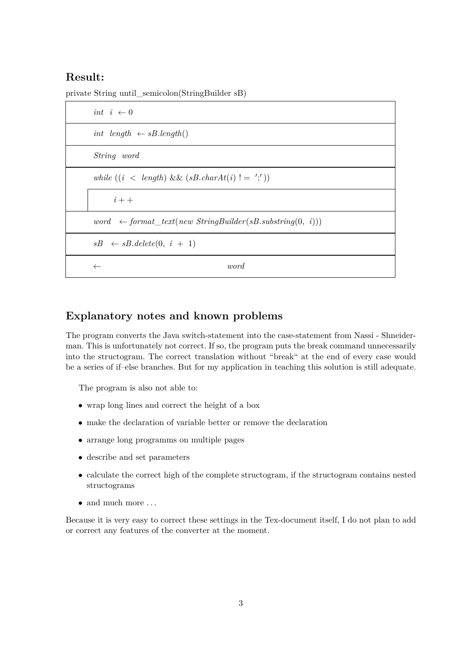#### **Result:**

private String until\_semicolon(StringBuilder sB)

| int $i \leftarrow 0$                                                 |
|----------------------------------------------------------------------|
| int length $\leftarrow sB.length()$                                  |
| String word                                                          |
| while $((i \langle length) \&\& (sB.charAt(i)) = ','))$              |
| $i++$                                                                |
| word $\leftarrow$ format_text(new StringBuilder(sB.substring(0, i))) |
| $sB \leftarrow sB$ . delete $(0, i + 1)$                             |
| <i>word</i>                                                          |

### **Explanatory notes and known problems**

The program converts the Java switch-statement into the case-statement from Nassi - Shneiderman. This is unfortunately not correct. If so, the program puts the break command unnecessarily into the structogram. The correct translation without "break" at the end of every case would be a series of if–else branches. But for my application in teaching this solution is still adequate.

The program is also not able to:

- wrap long lines and correct the height of a box
- make the declaration of variable better or remove the declaration
- arrange long programms on multiple pages
- describe and set parameters
- calculate the correct high of the complete structogram, if the structogram contains nested structograms
- $\bullet\,$  and much more  $\ldots$

Because it is very easy to correct these settings in the Tex-document itself, I do not plan to add or correct any features of the converter at the moment.